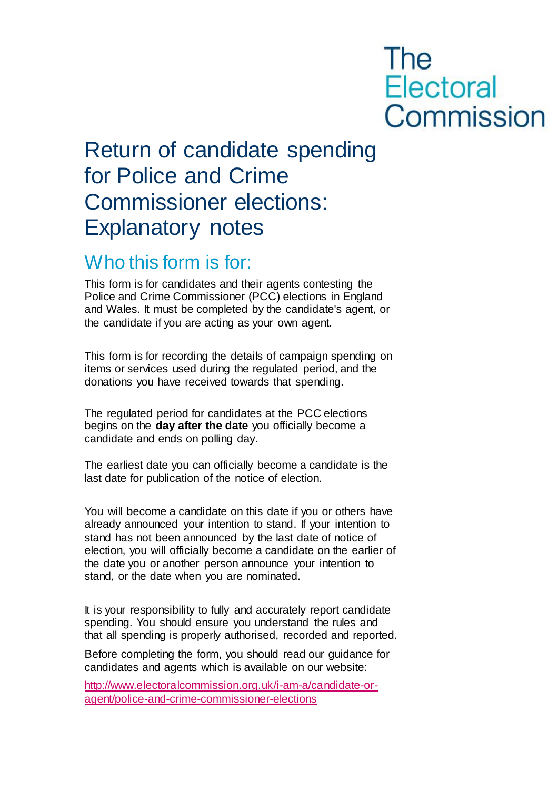# **The Electoral** Commission

# Return of candidate spending for Police and Crime Commissioner elections: Explanatory notes

### Who this form is for:

This form is for candidates and their agents contesting the Police and Crime Commissioner (PCC) elections in England and Wales. It must be completed by the candidate's agent, or the candidate if you are acting as your own agent.

This form is for recording the details of campaign spending on items or services used during the regulated period, and the donations you have received towards that spending.

The regulated period for candidates at the PCC elections begins on the **day after the date** you officially become a candidate and ends on polling day.

The earliest date you can officially become a candidate is the last date for publication of the notice o[f election.](http://www.electoralcommission.org.uk/__data/assets/pdf_file/0005/177422/PCC-October-2014-by-election-timetable.pdf)

You will become a candidate on this date if you or others have already announced your intention to stand. If your intention to stand has not been announced by the last date of notice of election, you will officially become a candidate on the earlier of the date you or another person announce your intention to stand, or the date when you are nominated.

It is your responsibility to fully and accurately report candidate spending. You should ensure you understand the rules and that all spending is properly authorised, recorded and reported.

Before completing the form, you should read our guidance for candidates and agents which is available on our website:

[http://www.electoralcommission.org.uk/i-am-a/candidate-or](http://www.electoralcommission.org.uk/i-am-a/candidate-or-agent/police-and-crime-commissioner-elections)[agent/police-and-crime-commissioner-elections](http://www.electoralcommission.org.uk/i-am-a/candidate-or-agent/police-and-crime-commissioner-elections)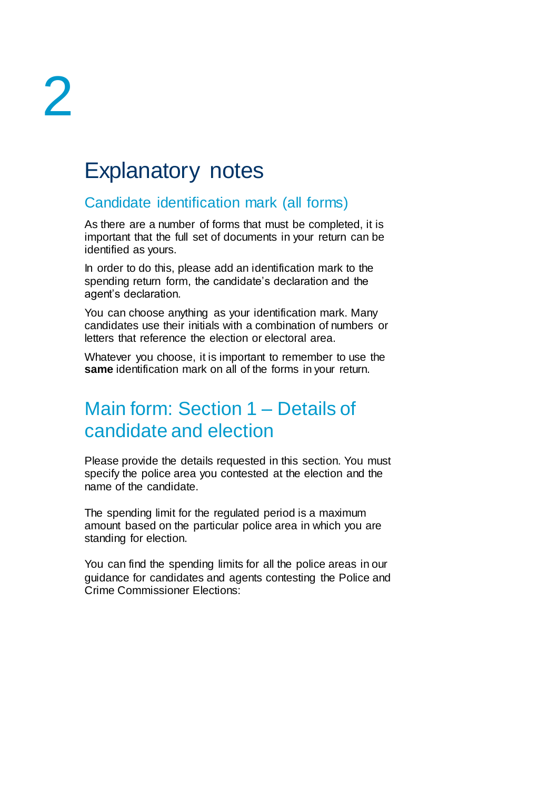## Explanatory notes

### Candidate identification mark (all forms)

As there are a number of forms that must be completed, it is important that the full set of documents in your return can be identified as yours.

In order to do this, please add an identification mark to the spending return form, the candidate's declaration and the agent's declaration.

You can choose anything as your identification mark. Many candidates use their initials with a combination of numbers or letters that reference the election or electoral area.

Whatever you choose, it is important to remember to use the **same** identification mark on all of the forms in your return.

### Main form: Section 1 – Details of candidate and election

Please provide the details requested in this section. You must specify the police area you contested at the election and the name of the candidate.

The spending limit for the regulated period is a maximum amount based on the particular police area in which you are standing for election.

You can find the spending limits for all the police areas in our guidance for candidates and agents contesting the Police and Crime Commissioner Elections: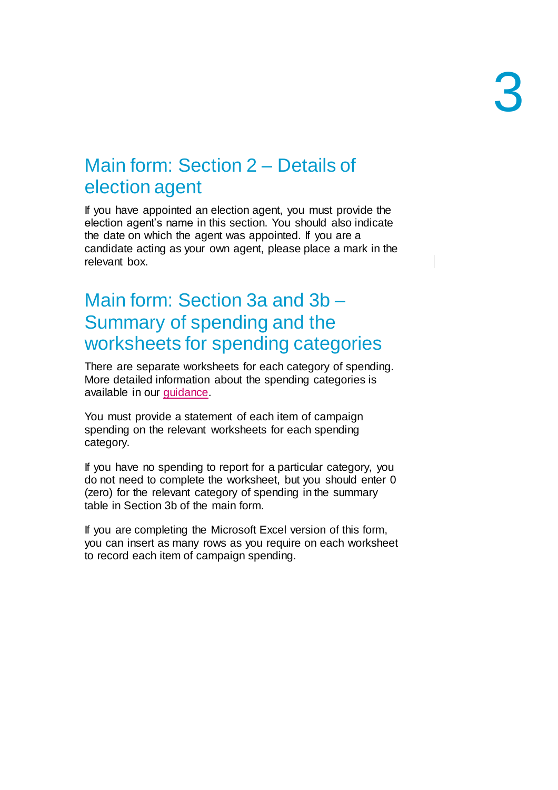### Main form: Section 2 – Details of election agent

If you have appointed an election agent, you must provide the election agent's name in this section. You should also indicate the date on which the agent was appointed. If you are a candidate acting as your own agent, please place a mark in the relevant box.

### Main form: Section 3a and 3b – Summary of spending and the worksheets for spending categories

There are separate worksheets for each category of spending. More detailed information about the spending categories is available in our guidance.

You must provide a statement of each item of campaign spending on the relevant worksheets for each spending category.

If you have no spending to report for a particular category, you do not need to complete the worksheet, but you should enter 0 (zero) for the relevant category of spending in the summary table in Section 3b of the main form.

If you are completing the Microsoft Excel version of this form, you can insert as many rows as you require on each worksheet to record each item of campaign spending.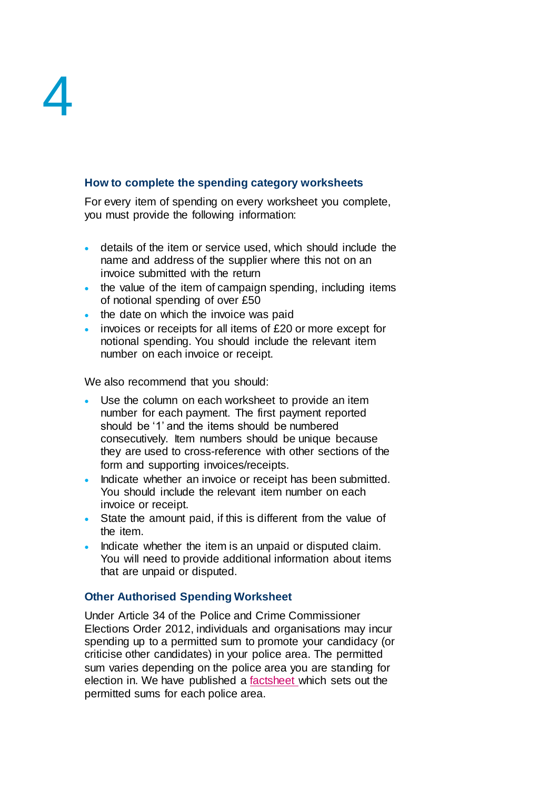#### **How to complete the spending category worksheets**

For every item of spending on every worksheet you complete, you must provide the following information:

- details of the item or service used, which should include the name and address of the supplier where this not on an invoice submitted with the return
- the value of the item of campaign spending, including items of notional spending of over £50
- the date on which the invoice was paid
- invoices or receipts for all items of £20 or more except for notional spending. You should include the relevant item number on each invoice or receipt.

We also recommend that you should:

- Use the column on each worksheet to provide an item number for each payment. The first payment reported should be '1' and the items should be numbered consecutively. Item numbers should be unique because they are used to cross-reference with other sections of the form and supporting invoices/receipts.
- Indicate whether an invoice or receipt has been submitted. You should include the relevant item number on each invoice or receipt.
- State the amount paid, if this is different from the value of the item.
- Indicate whether the item is an unpaid or disputed claim. You will need to provide additional information about items that are unpaid or disputed.

#### **Other Authorised Spending Worksheet**

Under Article 34 of the Police and Crime Commissioner Elections Order 2012, individuals and organisations may incur spending up to a permitted sum to promote your candidacy (or criticise other candidates) in your police area. The permitted sum varies depending on the police area you are standing for election in. We have published a [factsheet](https://www.electoralcommission.org.uk/media/6922) which sets out the permitted sums for each police area.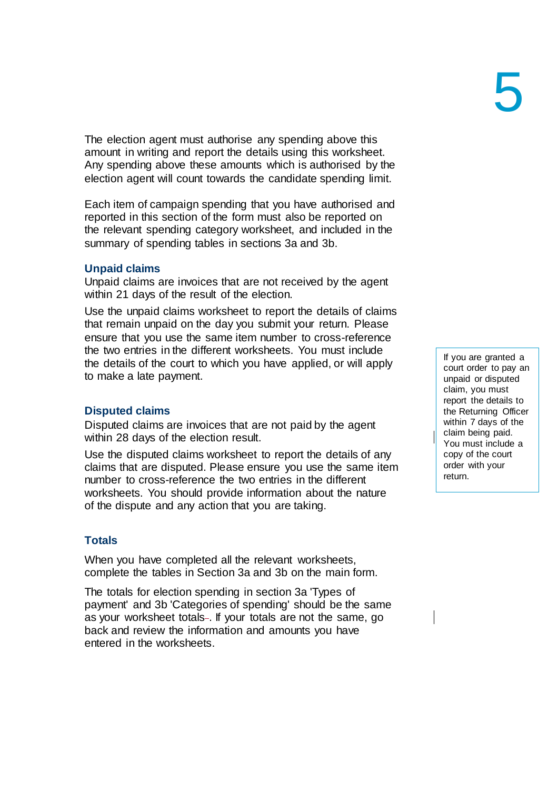The election agent must authorise any spending above this amount in writing and report the details using this worksheet. Any spending above these amounts which is authorised by the election agent will count towards the candidate spending limit.

Each item of campaign spending that you have authorised and reported in this section of the form must also be reported on the relevant spending category worksheet, and included in the summary of spending tables in sections 3a and 3b.

#### **Unpaid claims**

Unpaid claims are invoices that are not received by the agent within 21 days of the result of the election.

Use the unpaid claims worksheet to report the details of claims that remain unpaid on the day you submit your return. Please ensure that you use the same item number to cross-reference the two entries in the different worksheets. You must include the details of the court to which you have applied, or will apply to make a late payment.

#### **Disputed claims**

Disputed claims are invoices that are not paid by the agent within 28 days of the election result.

Use the disputed claims worksheet to report the details of any claims that are disputed. Please ensure you use the same item number to cross-reference the two entries in the different worksheets. You should provide information about the nature of the dispute and any action that you are taking.

#### **Totals**

When you have completed all the relevant worksheets, complete the tables in Section 3a and 3b on the main form.

The totals for election spending in section 3a 'Types of payment' and 3b 'Categories of spending' should be the same as your worksheet totals-. If your totals are not the same, go back and review the information and amounts you have entered in the worksheets.

If you are granted a court order to pay an unpaid or disputed claim, you must report the details to the Returning Officer within 7 days of the claim being paid. You must include a copy of the court order with your return.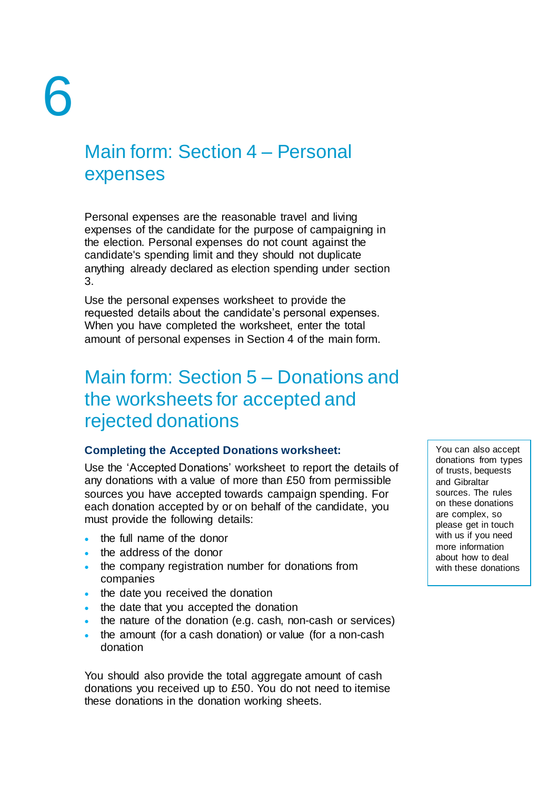### Main form: Section 4 – Personal expenses

Personal expenses are the reasonable travel and living expenses of the candidate for the purpose of campaigning in the election. Personal expenses do not count against the candidate's spending limit and they should not duplicate anything already declared as election spending under section 3.

Use the personal expenses worksheet to provide the requested details about the candidate's personal expenses. When you have completed the worksheet, enter the total amount of personal expenses in Section 4 of the main form.

### Main form: Section 5 – Donations and the worksheets for accepted and rejected donations

#### **Completing the Accepted Donations worksheet:**

Use the 'Accepted Donations' worksheet to report the details of any donations with a value of more than £50 from permissible sources you have accepted towards campaign spending. For each donation accepted by or on behalf of the candidate, you must provide the following details:

- the full name of the donor
- the address of the donor
- . the company registration number for donations from companies
- the date you received the donation
- the date that you accepted the donation
- the nature of the donation (e.g. cash, non-cash or services)
- the amount (for a cash donation) or value (for a non-cash donation

You should also provide the total aggregate amount of cash donations you received up to £50. You do not need to itemise these donations in the donation working sheets.

You can also accept donations from types of trusts, bequests and Gibraltar sources. The rules on these donations are complex, so please get in touch with us if you need more information about how to deal with these donations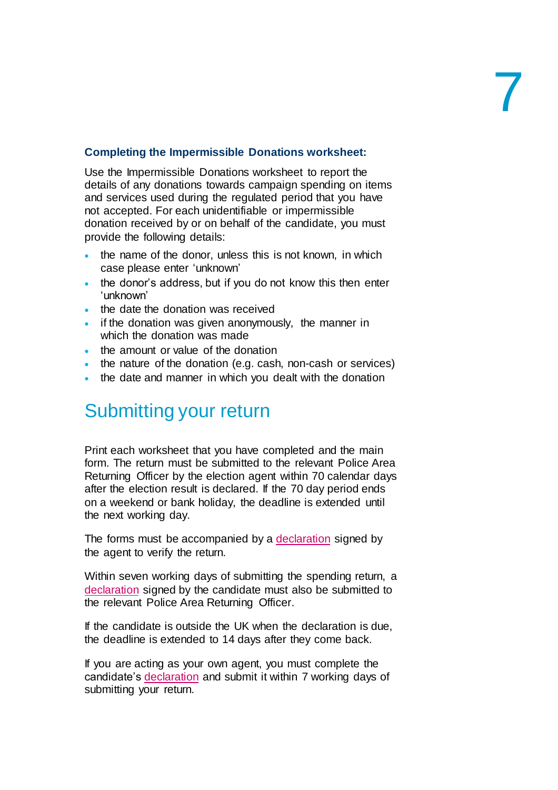#### **Completing the Impermissible Donations worksheet:**

Use the Impermissible Donations worksheet to report the details of any donations towards campaign spending on items and services used during the regulated period that you have not accepted. For each unidentifiable or impermissible donation received by or on behalf of the candidate, you must provide the following details:

- the name of the donor, unless this is not known, in which case please enter 'unknown'
- the donor's address, but if you do not know this then enter 'unknown'
- the date the donation was received
- $\bullet$  if the donation was given anonymously, the manner in which the donation was made
- . the amount or value of the donation
- the nature of the donation (e.g. cash, non-cash or services)
- the date and manner in which you dealt with the donation

### Submitting your return

Print each worksheet that you have completed and the main form. The return must be submitted to the relevant Police Area Returning Officer by the election agent within 70 calendar days after the election result is declared. If the 70 day period ends on a weekend or bank holiday, the deadline is extended until the next working day.

The forms must be accompanied by a [declaration](http://www.electoralcommission.org.uk/__data/assets/pdf_file/0015/149010/Agents-declaration-PDF.pdf) signed by the agent to verify the return.

Within seven working days of submitting the spending return, a [declaration](http://www.electoralcommission.org.uk/__data/assets/pdf_file/0016/149011/Candidates-declaration-PDF.pdf) signed by the candidate must also be submitted to the relevant Police Area Returning Officer.

If the candidate is outside the UK when the declaration is due, the deadline is extended to 14 days after they come back.

If you are acting as your own agent, you must complete the candidate's [declaration](http://www.electoralcommission.org.uk/__data/assets/pdf_file/0007/149038/Candidates-declaration-where-candidate-is-also-own-agent-PDF.pdf) and submit it within 7 working days of submitting your return.